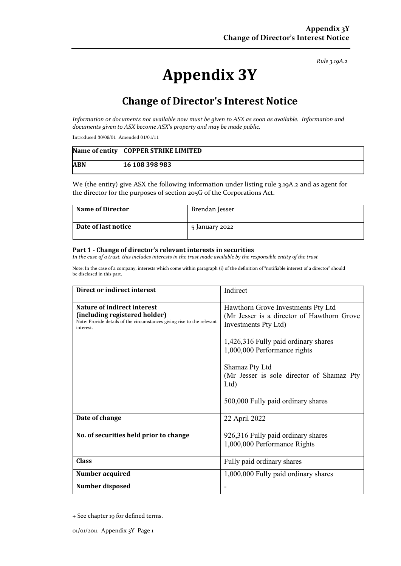*Rule 3.19A.2*

# **Appendix 3Y**

# **Change of Director's Interest Notice**

*Information or documents not available now must be given to ASX as soon as available. Information and documents given to ASX become ASX's property and may be made public.* 

Introduced 30/09/01 Amended 01/01/11

|            | Name of entity COPPER STRIKE LIMITED |
|------------|--------------------------------------|
| <b>ABN</b> | 16 108 398 983                       |

We (the entity) give ASX the following information under listing rule 3.19A.2 and as agent for the director for the purposes of section 205G of the Corporations Act.

| <b>Name of Director</b> | Brendan Jesser |
|-------------------------|----------------|
| Date of last notice     | 5 January 2022 |

#### **Part 1 - Change of director's relevant interests in securities**

In the case of a trust, this includes interests in the trust made available by the responsible entity of the trust

Note: In the case of a company, interests which come within paragraph (i) of the definition of "notifiable interest of a director" should be disclosed in this part.

| Direct or indirect interest                                                                                                                         | Indirect                                                                                                 |  |
|-----------------------------------------------------------------------------------------------------------------------------------------------------|----------------------------------------------------------------------------------------------------------|--|
| Nature of indirect interest<br>(including registered holder)<br>Note: Provide details of the circumstances giving rise to the relevant<br>interest. | Hawthorn Grove Investments Pty Ltd<br>(Mr Jesser is a director of Hawthorn Grove<br>Investments Pty Ltd) |  |
|                                                                                                                                                     | 1,426,316 Fully paid ordinary shares<br>1,000,000 Performance rights                                     |  |
|                                                                                                                                                     | Shamaz Pty Ltd<br>(Mr Jesser is sole director of Shamaz Pty<br>Ltd                                       |  |
|                                                                                                                                                     | 500,000 Fully paid ordinary shares                                                                       |  |
| Date of change                                                                                                                                      | 22 April 2022                                                                                            |  |
| No. of securities held prior to change                                                                                                              | 926,316 Fully paid ordinary shares<br>1,000,000 Performance Rights                                       |  |
| <b>Class</b>                                                                                                                                        | Fully paid ordinary shares                                                                               |  |
| Number acquired                                                                                                                                     | 1,000,000 Fully paid ordinary shares                                                                     |  |
| Number disposed                                                                                                                                     |                                                                                                          |  |

<sup>+</sup> See chapter 19 for defined terms.